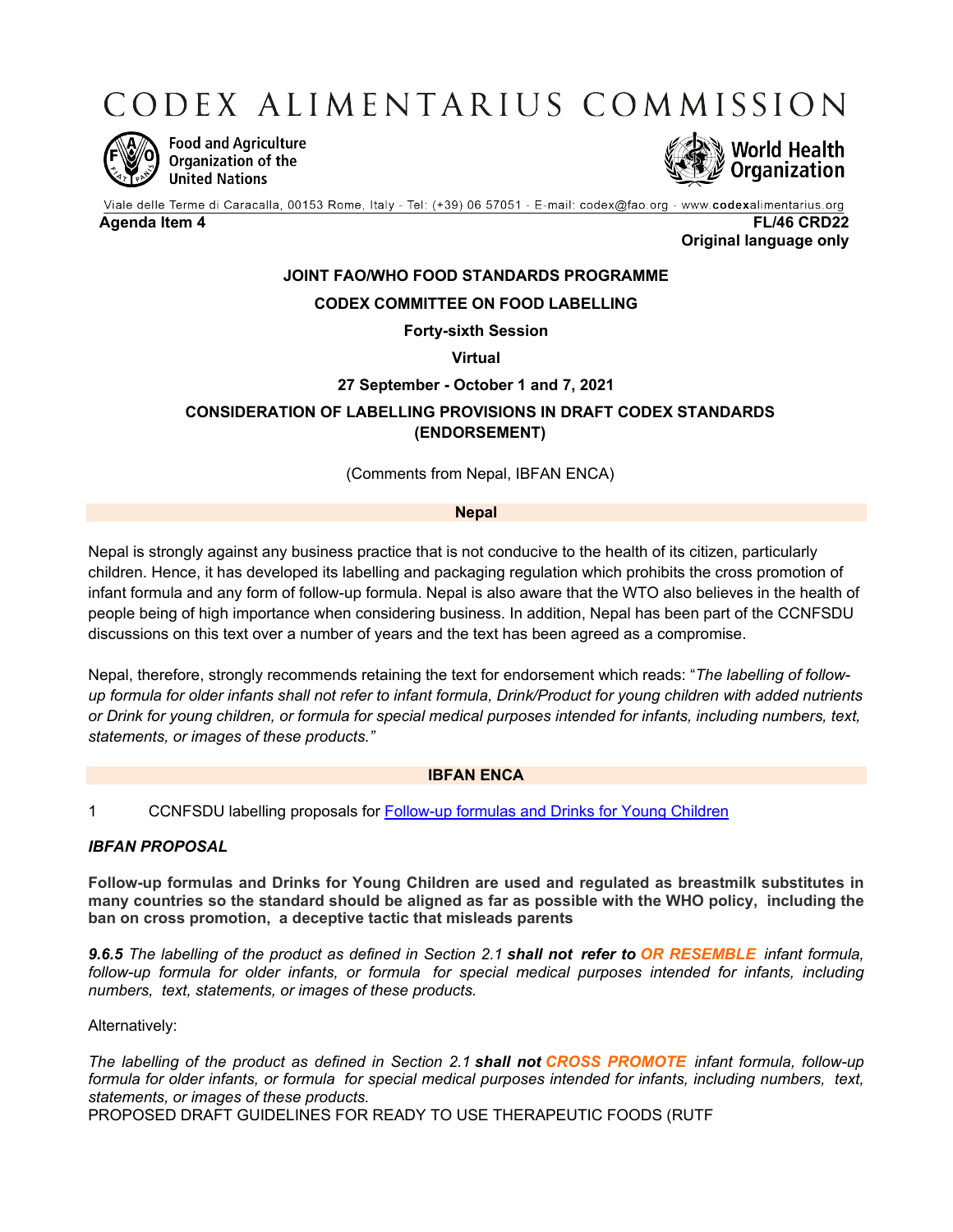CODEX ALIMENTARIUS COMMISSION



**Food and Agriculture Organization of the United Nations** 



Viale delle Terme di Caracalla, 00153 Rome, Italy - Tel: (+39) 06 57051 - E-mail: codex@fao.org - www.codexalimentarius.org

**Agenda Item 4 FL/46 CRD22**

**Original language only**

### **JOINT FAO/WHO FOOD STANDARDS PROGRAMME**

### **CODEX COMMITTEE ON FOOD LABELLING**

**Forty-sixth Session**

#### **Virtual**

**27 September - October 1 and 7, 2021**

**CONSIDERATION OF LABELLING PROVISIONS IN DRAFT CODEX STANDARDS (ENDORSEMENT)** 

(Comments from Nepal, IBFAN ENCA)

### **Nepal**

Nepal is strongly against any business practice that is not conducive to the health of its citizen, particularly children. Hence, it has developed its labelling and packaging regulation which prohibits the cross promotion of infant formula and any form of follow-up formula. Nepal is also aware that the WTO also believes in the health of people being of high importance when considering business. In addition, Nepal has been part of the CCNFSDU discussions on this text over a number of years and the text has been agreed as a compromise.

Nepal, therefore, strongly recommends retaining the text for endorsement which reads: "*The labelling of followup formula for older infants shall not refer to infant formula, Drink/Product for young children with added nutrients or Drink for young children, or formula for special medical purposes intended for infants, including numbers, text, statements, or images of these products."*

### **IBFAN ENCA**

1 CCNFSDU labelling proposals for [Follow-up formulas and Drinks for Young Children](http://www.babymilkaction.org/wp-content/uploads/2021/06/IBFAN-Step-7-FUF-.pdf)

# *IBFAN PROPOSAL*

**Follow-up formulas and Drinks for Young Children are used and regulated as breastmilk substitutes in many countries so the standard should be aligned as far as possible with the WHO policy, including the ban on cross promotion, a deceptive tactic that misleads parents**

*9.6.5 The labelling of the product as defined in Section 2.1 shall not refer to OR RESEMBLE infant formula, follow-up formula for older infants, or formula for special medical purposes intended for infants, including numbers, text, statements, or images of these products.*

Alternatively:

*The labelling of the product as defined in Section 2.1 shall not CROSS PROMOTE infant formula, follow-up formula for older infants, or formula for special medical purposes intended for infants, including numbers, text, statements, or images of these products.*

PROPOSED DRAFT GUIDELINES FOR READY TO USE THERAPEUTIC FOODS (RUTF